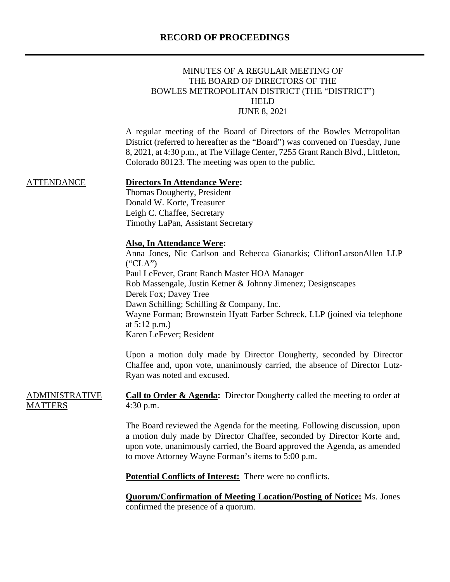# **RECORD OF PROCEEDINGS**

|                                         | MINUTES OF A REGULAR MEETING OF<br>THE BOARD OF DIRECTORS OF THE<br>BOWLES METROPOLITAN DISTRICT (THE "DISTRICT")<br><b>HELD</b><br><b>JUNE 8, 2021</b>                                                                                                                                                                                                                                                                              |
|-----------------------------------------|--------------------------------------------------------------------------------------------------------------------------------------------------------------------------------------------------------------------------------------------------------------------------------------------------------------------------------------------------------------------------------------------------------------------------------------|
|                                         | A regular meeting of the Board of Directors of the Bowles Metropolitan<br>District (referred to hereafter as the "Board") was convened on Tuesday, June<br>8, 2021, at 4:30 p.m., at The Village Center, 7255 Grant Ranch Blvd., Littleton,<br>Colorado 80123. The meeting was open to the public.                                                                                                                                   |
| <b>ATTENDANCE</b>                       | <b>Directors In Attendance Were:</b><br>Thomas Dougherty, President<br>Donald W. Korte, Treasurer<br>Leigh C. Chaffee, Secretary<br>Timothy LaPan, Assistant Secretary                                                                                                                                                                                                                                                               |
|                                         | <b>Also, In Attendance Were:</b><br>Anna Jones, Nic Carlson and Rebecca Gianarkis; CliftonLarsonAllen LLP<br>("CLA")<br>Paul LeFever, Grant Ranch Master HOA Manager<br>Rob Massengale, Justin Ketner & Johnny Jimenez; Designscapes<br>Derek Fox; Davey Tree<br>Dawn Schilling; Schilling & Company, Inc.<br>Wayne Forman; Brownstein Hyatt Farber Schreck, LLP (joined via telephone<br>at $5:12$ p.m.)<br>Karen LeFever; Resident |
|                                         | Upon a motion duly made by Director Dougherty, seconded by Director<br>Chaffee and, upon vote, unanimously carried, the absence of Director Lutz-<br>Ryan was noted and excused.                                                                                                                                                                                                                                                     |
| <b>ADMINISTRATIVE</b><br><b>MATTERS</b> | <b>Call to Order &amp; Agenda:</b> Director Dougherty called the meeting to order at<br>$4:30$ p.m.                                                                                                                                                                                                                                                                                                                                  |
|                                         | The Board reviewed the Agenda for the meeting. Following discussion, upon<br>a motion duly made by Director Chaffee, seconded by Director Korte and,<br>upon vote, unanimously carried, the Board approved the Agenda, as amended<br>to move Attorney Wayne Forman's items to 5:00 p.m.                                                                                                                                              |
|                                         | Potential Conflicts of Interest: There were no conflicts.                                                                                                                                                                                                                                                                                                                                                                            |
|                                         | <b>Quorum/Confirmation of Meeting Location/Posting of Notice:</b> Ms. Jones<br>confirmed the presence of a quorum.                                                                                                                                                                                                                                                                                                                   |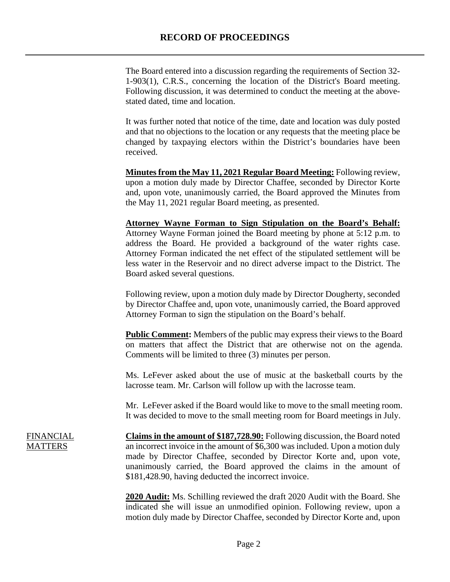The Board entered into a discussion regarding the requirements of Section 32- 1-903(1), C.R.S., concerning the location of the District's Board meeting. Following discussion, it was determined to conduct the meeting at the abovestated dated, time and location.

It was further noted that notice of the time, date and location was duly posted and that no objections to the location or any requests that the meeting place be changed by taxpaying electors within the District's boundaries have been received.

**Minutes from the May 11, 2021 Regular Board Meeting:** Following review, upon a motion duly made by Director Chaffee, seconded by Director Korte and, upon vote, unanimously carried, the Board approved the Minutes from the May 11, 2021 regular Board meeting, as presented.

**Attorney Wayne Forman to Sign Stipulation on the Board's Behalf:** Attorney Wayne Forman joined the Board meeting by phone at 5:12 p.m. to address the Board. He provided a background of the water rights case. Attorney Forman indicated the net effect of the stipulated settlement will be less water in the Reservoir and no direct adverse impact to the District. The Board asked several questions.

Following review, upon a motion duly made by Director Dougherty, seconded by Director Chaffee and, upon vote, unanimously carried, the Board approved Attorney Forman to sign the stipulation on the Board's behalf.

**Public Comment:** Members of the public may express their views to the Board on matters that affect the District that are otherwise not on the agenda. Comments will be limited to three (3) minutes per person.

Ms. LeFever asked about the use of music at the basketball courts by the lacrosse team. Mr. Carlson will follow up with the lacrosse team.

Mr. LeFever asked if the Board would like to move to the small meeting room. It was decided to move to the small meeting room for Board meetings in July.

FINANCIAL MATTERS

**Claims in the amount of \$187,728.90:** Following discussion, the Board noted an incorrect invoice in the amount of \$6,300 was included. Upon a motion duly made by Director Chaffee, seconded by Director Korte and, upon vote, unanimously carried, the Board approved the claims in the amount of \$181,428.90, having deducted the incorrect invoice.

**2020 Audit:** Ms. Schilling reviewed the draft 2020 Audit with the Board. She indicated she will issue an unmodified opinion. Following review, upon a motion duly made by Director Chaffee, seconded by Director Korte and, upon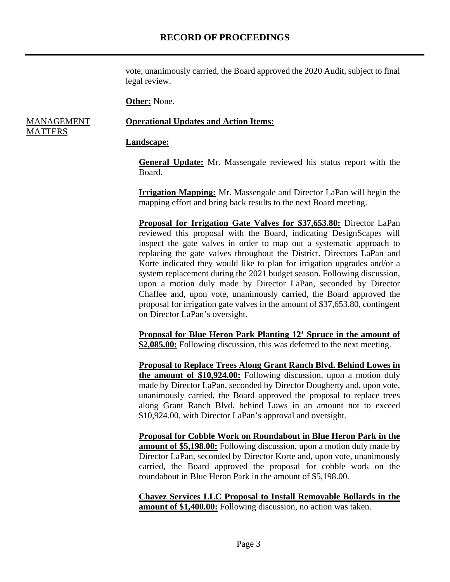vote, unanimously carried, the Board approved the 2020 Audit, subject to final legal review.

**Other:** None.

#### MANAGEMENT **MATTERS Operational Updates and Action Items:**

#### **Landscape:**

**General Update:** Mr. Massengale reviewed his status report with the Board.

**Irrigation Mapping:** Mr. Massengale and Director LaPan will begin the mapping effort and bring back results to the next Board meeting.

**Proposal for Irrigation Gate Valves for \$37,653.80:** Director LaPan reviewed this proposal with the Board, indicating DesignScapes will inspect the gate valves in order to map out a systematic approach to replacing the gate valves throughout the District. Directors LaPan and Korte indicated they would like to plan for irrigation upgrades and/or a system replacement during the 2021 budget season. Following discussion, upon a motion duly made by Director LaPan, seconded by Director Chaffee and, upon vote, unanimously carried, the Board approved the proposal for irrigation gate valves in the amount of \$37,653.80, contingent on Director LaPan's oversight.

**Proposal for Blue Heron Park Planting 12' Spruce in the amount of \$2,085.00:** Following discussion, this was deferred to the next meeting.

**Proposal to Replace Trees Along Grant Ranch Blvd. Behind Lowes in the amount of \$10,924.00:** Following discussion, upon a motion duly made by Director LaPan, seconded by Director Dougherty and, upon vote, unanimously carried, the Board approved the proposal to replace trees along Grant Ranch Blvd. behind Lows in an amount not to exceed \$10,924.00, with Director LaPan's approval and oversight.

**Proposal for Cobble Work on Roundabout in Blue Heron Park in the amount of \$5,198.00:** Following discussion, upon a motion duly made by Director LaPan, seconded by Director Korte and, upon vote, unanimously carried, the Board approved the proposal for cobble work on the roundabout in Blue Heron Park in the amount of \$5,198.00.

**Chavez Services LLC Proposal to Install Removable Bollards in the amount of \$1,400.00:** Following discussion, no action was taken.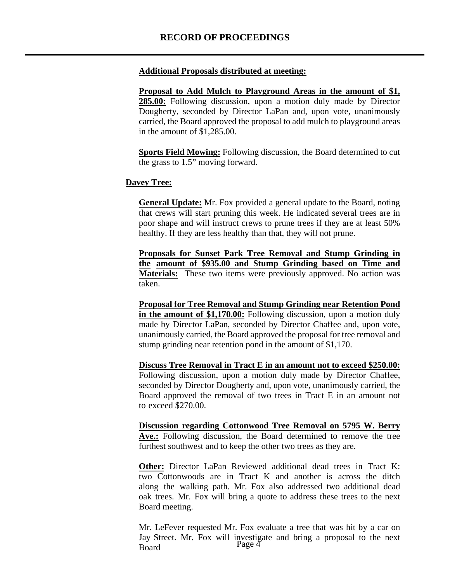#### **Additional Proposals distributed at meeting:**

**Proposal to Add Mulch to Playground Areas in the amount of \$1, 285.00:** Following discussion, upon a motion duly made by Director Dougherty, seconded by Director LaPan and, upon vote, unanimously carried, the Board approved the proposal to add mulch to playground areas in the amount of \$1,285.00.

**Sports Field Mowing:** Following discussion, the Board determined to cut the grass to 1.5" moving forward.

#### **Davey Tree:**

**General Update:** Mr. Fox provided a general update to the Board, noting that crews will start pruning this week. He indicated several trees are in poor shape and will instruct crews to prune trees if they are at least 50% healthy. If they are less healthy than that, they will not prune.

**Proposals for Sunset Park Tree Removal and Stump Grinding in the amount of \$935.00 and Stump Grinding based on Time and Materials:** These two items were previously approved. No action was taken.

**Proposal for Tree Removal and Stump Grinding near Retention Pond in the amount of \$1,170.00:** Following discussion, upon a motion duly made by Director LaPan, seconded by Director Chaffee and, upon vote, unanimously carried, the Board approved the proposal for tree removal and stump grinding near retention pond in the amount of \$1,170.

**Discuss Tree Removal in Tract E in an amount not to exceed \$250.00:** Following discussion, upon a motion duly made by Director Chaffee, seconded by Director Dougherty and, upon vote, unanimously carried, the Board approved the removal of two trees in Tract E in an amount not to exceed \$270.00.

**Discussion regarding Cottonwood Tree Removal on 5795 W. Berry Ave.:** Following discussion, the Board determined to remove the tree furthest southwest and to keep the other two trees as they are.

**Other:** Director LaPan Reviewed additional dead trees in Tract K: two Cottonwoods are in Tract K and another is across the ditch along the walking path. Mr. Fox also addressed two additional dead oak trees. Mr. Fox will bring a quote to address these trees to the next Board meeting.

Page 4 Mr. LeFever requested Mr. Fox evaluate a tree that was hit by a car on Jay Street. Mr. Fox will investigate and bring a proposal to the next Board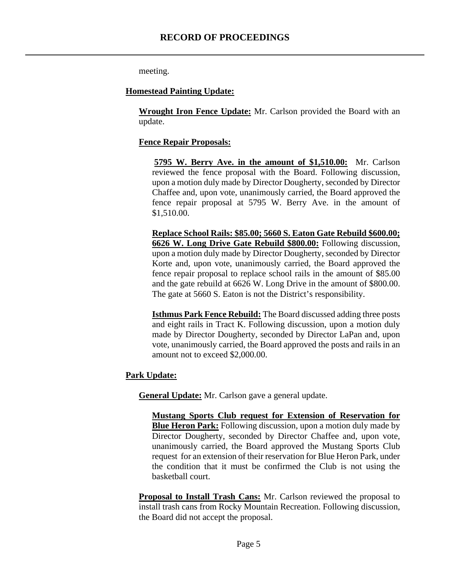meeting.

#### **Homestead Painting Update:**

**Wrought Iron Fence Update:** Mr. Carlson provided the Board with an update.

#### **Fence Repair Proposals:**

**5795 W. Berry Ave. in the amount of \$1,510.00:** Mr. Carlson reviewed the fence proposal with the Board. Following discussion, upon a motion duly made by Director Dougherty, seconded by Director Chaffee and, upon vote, unanimously carried, the Board approved the fence repair proposal at 5795 W. Berry Ave. in the amount of \$1,510.00.

**Replace School Rails: \$85.00; 5660 S. Eaton Gate Rebuild \$600.00; 6626 W. Long Drive Gate Rebuild \$800.00:** Following discussion, upon a motion duly made by Director Dougherty, seconded by Director Korte and, upon vote, unanimously carried, the Board approved the fence repair proposal to replace school rails in the amount of \$85.00 and the gate rebuild at 6626 W. Long Drive in the amount of \$800.00. The gate at 5660 S. Eaton is not the District's responsibility.

**Isthmus Park Fence Rebuild:** The Board discussed adding three posts and eight rails in Tract K. Following discussion, upon a motion duly made by Director Dougherty, seconded by Director LaPan and, upon vote, unanimously carried, the Board approved the posts and rails in an amount not to exceed \$2,000.00.

## **Park Update:**

**General Update:** Mr. Carlson gave a general update.

**Mustang Sports Club request for Extension of Reservation for Blue Heron Park:** Following discussion, upon a motion duly made by Director Dougherty, seconded by Director Chaffee and, upon vote, unanimously carried, the Board approved the Mustang Sports Club request for an extension of their reservation for Blue Heron Park, under the condition that it must be confirmed the Club is not using the basketball court.

**Proposal to Install Trash Cans:** Mr. Carlson reviewed the proposal to install trash cans from Rocky Mountain Recreation. Following discussion, the Board did not accept the proposal.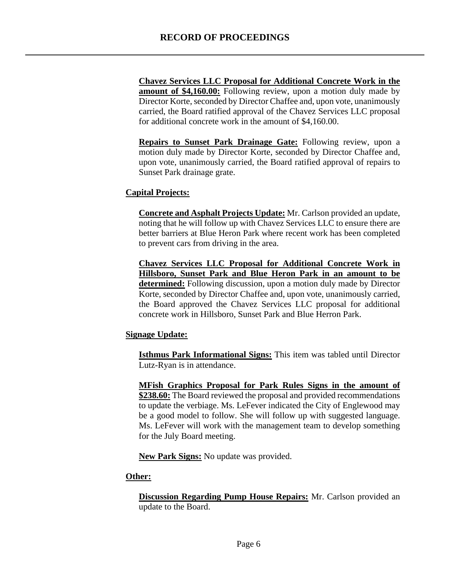**Chavez Services LLC Proposal for Additional Concrete Work in the**  amount of \$4,160.00: Following review, upon a motion duly made by Director Korte, seconded by Director Chaffee and, upon vote, unanimously carried, the Board ratified approval of the Chavez Services LLC proposal for additional concrete work in the amount of \$4,160.00.

**Repairs to Sunset Park Drainage Gate:** Following review, upon a motion duly made by Director Korte, seconded by Director Chaffee and, upon vote, unanimously carried, the Board ratified approval of repairs to Sunset Park drainage grate.

## **Capital Projects:**

**Concrete and Asphalt Projects Update:** Mr. Carlson provided an update, noting that he will follow up with Chavez Services LLC to ensure there are better barriers at Blue Heron Park where recent work has been completed to prevent cars from driving in the area.

**Chavez Services LLC Proposal for Additional Concrete Work in Hillsboro, Sunset Park and Blue Heron Park in an amount to be determined:** Following discussion, upon a motion duly made by Director Korte, seconded by Director Chaffee and, upon vote, unanimously carried, the Board approved the Chavez Services LLC proposal for additional concrete work in Hillsboro, Sunset Park and Blue Herron Park.

#### **Signage Update:**

**Isthmus Park Informational Signs:** This item was tabled until Director Lutz-Ryan is in attendance.

**MFish Graphics Proposal for Park Rules Signs in the amount of \$238.60:** The Board reviewed the proposal and provided recommendations to update the verbiage. Ms. LeFever indicated the City of Englewood may be a good model to follow. She will follow up with suggested language. Ms. LeFever will work with the management team to develop something for the July Board meeting.

**New Park Signs:** No update was provided.

## **Other:**

 **Discussion Regarding Pump House Repairs:** Mr. Carlson provided an update to the Board.